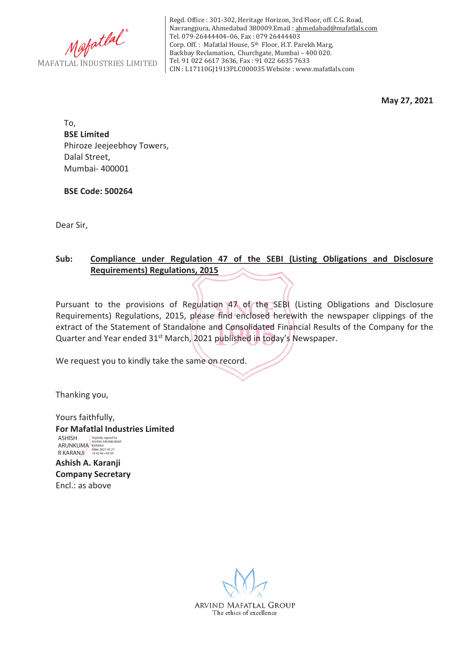

Regd. Office : 301-302, Heritage Horizon, 3rd Floor, off. C.G. Road, Navrangpura, Ahmedabad 380009.Email : ahmedabad@mafatlals.com Tel. 079-26444404–06, Fax : 079 26444403 Corp. Off. : Mafatlal House, 5th Floor, H.T. Parekh Marg, Backbay Reclamation, Churchgate, Mumbai – 400 020. Tel. 91 022 6617 3636, Fax : 91 022 6635 7633 CIN : L17110GJ1913PLC000035 Website : www.mafatlals.com

**May 27, 2021**

To, **BSE Limited** Phiroze Jeejeebhoy Towers, Dalal Street, Mumbai- 400001

**BSE Code: 500264**

Dear Sir,

## **Sub: Compliance under Regulation 47 of the SEBI (Listing Obligations and Disclosure Requirements) Regulations, 2015**

Pursuant to the provisions of Regulation 47 of the SEBI (Listing Obligations and Disclosure Requirements) Regulations, 2015, please find enclosed herewith the newspaper clippings of the extract of the Statement of Standalone and Consolidated Financial Results of the Company for the Quarter and Year ended 31<sup>st</sup> March, 2021 published in today's Newspaper.

We request you to kindly take the same on record.

Thanking you,

Yours faithfully, **For Mafatlal Industries Limited** ASHISH ARUNKUMA R KARANJI Digitally signed by ASHISH ARUNKUMAR KARANJI Date: 2021.05.27 14:42:40 +05'30'

**Ashish A. Karanji Company Secretary** Encl.: as above

ARVIND MAFATLAL GROUP The ethics of excellence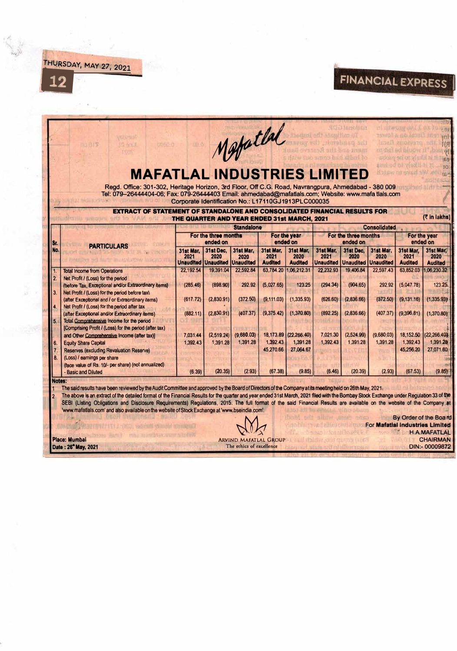$\overline{\mathbf{12}}$ 

T

## FINANCIAL EXPRESS iЫ  $\overline{1}$

|                                        | Tel: 079-26444404-06; Fax: 079-26444403 Email: ahmedabad@mafatlals.com; Website: www.mafa tlals.com<br>EXTRACT OF STATEMENT OF STANDALONE AND CONSOLIDATED FINANCIAL RESULTS FOR                                                                                                                                                                                                                                                                                                                                                                                                                                                                                                         | Corporate Identification No.: L17110GJ1913PLC000035<br>THE QUARTER AND YEAR ENDED 31st MARCH, 2021 |                                                                                        | <b>Standalone</b>                                                               |                                                                                          |                                                                                                                 |                                                                                 |                                                                                        | <b>Consolidated</b>                                                             |                                                                                                      | (そ in lakhs)                                                                                      |  |
|----------------------------------------|------------------------------------------------------------------------------------------------------------------------------------------------------------------------------------------------------------------------------------------------------------------------------------------------------------------------------------------------------------------------------------------------------------------------------------------------------------------------------------------------------------------------------------------------------------------------------------------------------------------------------------------------------------------------------------------|----------------------------------------------------------------------------------------------------|----------------------------------------------------------------------------------------|---------------------------------------------------------------------------------|------------------------------------------------------------------------------------------|-----------------------------------------------------------------------------------------------------------------|---------------------------------------------------------------------------------|----------------------------------------------------------------------------------------|---------------------------------------------------------------------------------|------------------------------------------------------------------------------------------------------|---------------------------------------------------------------------------------------------------|--|
|                                        |                                                                                                                                                                                                                                                                                                                                                                                                                                                                                                                                                                                                                                                                                          | For the three months                                                                               |                                                                                        |                                                                                 | For the year<br>ended on                                                                 |                                                                                                                 | For the three months                                                            |                                                                                        |                                                                                 | For the year<br>ended on                                                                             |                                                                                                   |  |
| ISr.<br>No.                            | <b>PARTICULARS</b>                                                                                                                                                                                                                                                                                                                                                                                                                                                                                                                                                                                                                                                                       | 31st Mar.<br>2021                                                                                  | ended on<br>31st Dec.<br>2020<br><b>Unaudited Unaudited Unaudited</b>                  | 31st Mar,<br>2020                                                               | 31st Mar.<br>2021<br><b>Audited</b>                                                      | 31st Mar.<br>2020<br><b>Audited</b>                                                                             | 31st Mar.<br>2021                                                               | ended on<br>31st Dec.<br>2020<br><b>Unaudited Unaudited Unaudited</b>                  | 31st Mar.<br>2020                                                               | 31st Mar.<br>2021<br><b>Audited</b>                                                                  | 31st Mar:<br>2020<br><b>Audited</b>                                                               |  |
| $\overline{1}$<br>2.<br>3.<br>15.<br>6 | <b>Total Income from Operations</b><br>Net Profit / (Loss) for the period<br>(before Tax, Exceptional and/or Extraordinary items)<br>Net Profit / (Loss) for the period before tax).<br>(after Exceptional and / or Extraordinary items)<br>Net Profit / (Loss) for the period after tax<br>(after Exceptional and/or Extraordinary items)<br>Total Comprehensive Income for the period<br>[Comprising Profit / (Loss) for the period (after tax)<br>and Other Comprehensive Income (after tax)]<br><b>Equity Share Capital</b><br>Reserves (excluding Revaluation Reserve)<br>(Loss) / earnings per share<br>(face value of Rs. 10/- per share) (not annualized)<br>- Basic and Diluted | 22.192.54<br>(285.46)<br>(617.72)<br>(882.11)<br>7,031.44<br>1.392.43<br>(6.39)                    | 19,391.04<br>(898.90)<br>(2,830.91)<br>(2,830.91)<br>(2.519.24)<br>1,391.28<br>(20.35) | 22.592.84<br>292.92<br>(372.50)<br>(407.37)<br>(9.680.03)<br>1.391.28<br>(2.93) | (5,027.65)<br>(9, 111.03)<br>(9,375.42)<br>18,173.89<br>1,392.43<br>45.270.66<br>(67.38) | 63.784.20 1.06.212.31<br>123.25<br>(1,335.93)<br>(1,370.80)<br>(22, 266, 40)<br>1.391.28<br>27,064.67<br>(9.85) | 22.232.93<br>(294.34)<br>(626.60)<br>(892.25)<br>7,021.30<br>1,392.43<br>(6.46) | 19,406.84<br>(904.65)<br>(2.836.66)<br>(2,836.66)<br>(2.524.99)<br>1,391.28<br>(20.39) | 22.597.43<br>292.92<br>(372.50)<br>(407.37)<br>(9,680.03)<br>1,391.28<br>(2.93) | 63,852.03<br>(5.047.78)<br>(9.131.16)<br>(9,396.81)<br>18,152,50<br>1,392.43<br>45,256.20<br>(67.53) | 1,06,230.32<br>123.25<br>(1,335.93)<br>(1,370.80)<br>22,266.40<br>1.391.28<br>27,071.60<br>(9.85) |  |